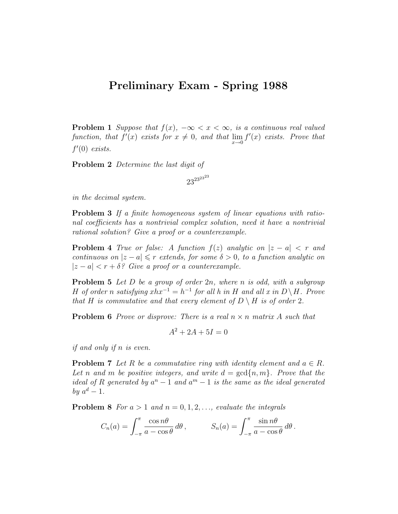## Preliminary Exam - Spring 1988

**Problem 1** Suppose that  $f(x)$ ,  $-\infty < x < \infty$ , is a continuous real valued function, that  $f'(x)$  exists for  $x \neq 0$ , and that  $\lim_{x\to 0} f'(x)$  exists. Prove that  $f'(0)$  exists.

Problem 2 Determine the last digit of

 $23^{23^{23}}$ 

in the decimal system.

Problem 3 If a finite homogeneous system of linear equations with rational coefficients has a nontrivial complex solution, need it have a nontrivial rational solution? Give a proof or a counterexample.

**Problem 4** True or false: A function  $f(z)$  analytic on  $|z - a| < r$  and continuous on  $|z - a| \leq r$  extends, for some  $\delta > 0$ , to a function analytic on  $|z - a| < r + \delta$ ? Give a proof or a counterexample.

**Problem 5** Let  $D$  be a group of order  $2n$ , where  $n$  is odd, with a subgroup H of order n satisfying  $xhx^{-1} = h^{-1}$  for all h in H and all x in  $D \setminus H$ . Prove that H is commutative and that every element of  $D \setminus H$  is of order 2.

**Problem 6** Prove or disprove: There is a real  $n \times n$  matrix A such that

$$
A^2 + 2A + 5I = 0
$$

if and only if n is even.

**Problem 7** Let R be a commutative ring with identity element and  $a \in R$ . Let n and m be positive integers, and write  $d = \gcd\{n, m\}$ . Prove that the ideal of R generated by  $a^n - 1$  and  $a^m - 1$  is the same as the ideal generated by  $a^d-1$ .

**Problem 8** For  $a > 1$  and  $n = 0, 1, 2, \ldots$ , evaluate the integrals

$$
C_n(a) = \int_{-\pi}^{\pi} \frac{\cos n\theta}{a - \cos \theta} d\theta, \qquad S_n(a) = \int_{-\pi}^{\pi} \frac{\sin n\theta}{a - \cos \theta} d\theta.
$$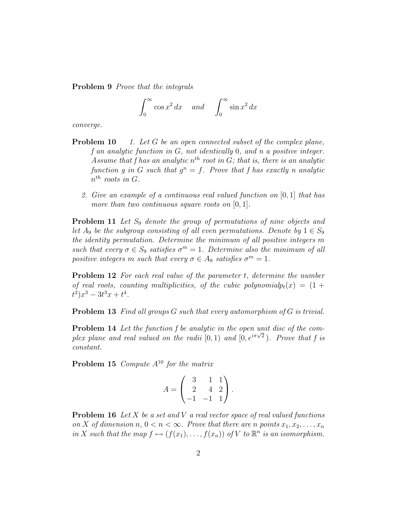Problem 9 Prove that the integrals

$$
\int_0^\infty \cos x^2 \, dx \quad \text{and} \quad \int_0^\infty \sin x^2 \, dx
$$

converge.

- **Problem 10** 1. Let G be an open connected subset of the complex plane, f an analytic function in G, not identically 0, and n a positive integer. Assume that f has an analytic  $n^{th}$  root in G; that is, there is an analytic function g in G such that  $g^n = f$ . Prove that f has exactly n analytic  $n^{th}$  roots in G.
	- 2. Give an example of a continuous real valued function on [0, 1] that has more than two continuous square roots on  $[0, 1]$ .

**Problem 11** Let  $S_9$  denote the group of permutations of nine objects and let  $A_9$  be the subgroup consisting of all even permutations. Denote by  $1 \in S_9$ the identity permutation. Determine the minimum of all positive integers m such that every  $\sigma \in S_9$  satisfies  $\sigma^m = 1$ . Determine also the minimum of all positive integers m such that every  $\sigma \in A_9$  satisfies  $\sigma^m = 1$ .

**Problem 12** For each real value of the parameter t, determine the number of real roots, counting multiplicities, of the cubic polynomial  $p_t(x) = (1 +$  $(t^2)x^3 - 3t^3x + t^4$ .

**Problem 13** Find all groups  $G$  such that every automorphism of  $G$  is trivial.

Problem 14 Let the function f be analytic in the open unit disc of the com-**The summer is that the function** f be analytic in the open and also by the com-<br>plex plane and real valued on the radii  $[0,1)$  and  $[0,e^{i\pi\sqrt{2}})$ . Prove that f is constant.

**Problem 15** Compute  $A^{10}$  for the matrix

$$
A = \begin{pmatrix} 3 & 1 & 1 \\ 2 & 4 & 2 \\ -1 & -1 & 1 \end{pmatrix}.
$$

**Problem 16** Let X be a set and V a real vector space of real valued functions on X of dimension  $n, 0 < n < \infty$ . Prove that there are n points  $x_1, x_2, \ldots, x_n$ in X such that the map  $f \mapsto (f(x_1), \ldots, f(x_n))$  of V to  $\mathbb{R}^n$  is an isomorphism.